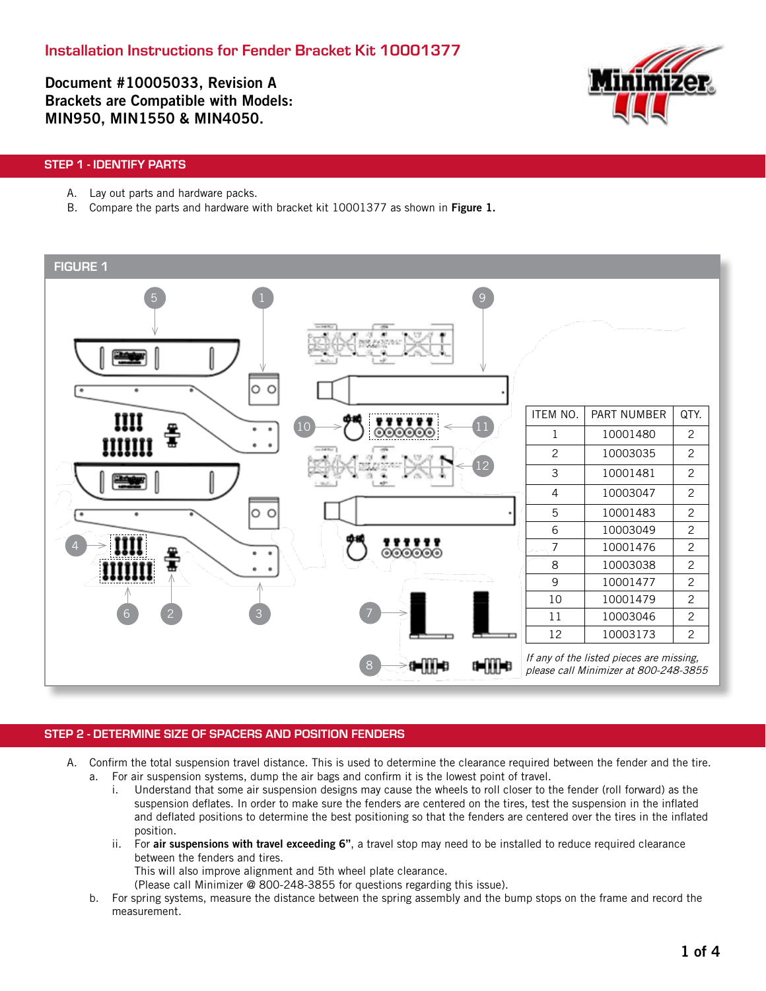Document #10005033, Revision A Brackets are Compatible with Models: MIN950, MIN1550 & MIN4050.



## STEP 1 - IDENTIFY PARTS

- A. Lay out parts and hardware packs.
- B. Compare the parts and hardware with bracket kit 10001377 as shown in Figure 1.



### STEP 2 - DETERMINE SIZE OF SPACERS AND POSITION FENDERS

- A. Confirm the total suspension travel distance. This is used to determine the clearance required between the fender and the tire.
	- a. For air suspension systems, dump the air bags and confirm it is the lowest point of travel. i. Understand that some air suspension designs may cause the wheels to roll closer to the fender (roll forward) as the suspension deflates. In order to make sure the fenders are centered on the tires, test the suspension in the inflated and deflated positions to determine the best positioning so that the fenders are centered over the tires in the inflated position.
		- ii. For air suspensions with travel exceeding 6", a travel stop may need to be installed to reduce required clearance between the fenders and tires.

This will also improve alignment and 5th wheel plate clearance.

- (Please call Minimizer @ 800-248-3855 for questions regarding this issue).
- b. For spring systems, measure the distance between the spring assembly and the bump stops on the frame and record the measurement.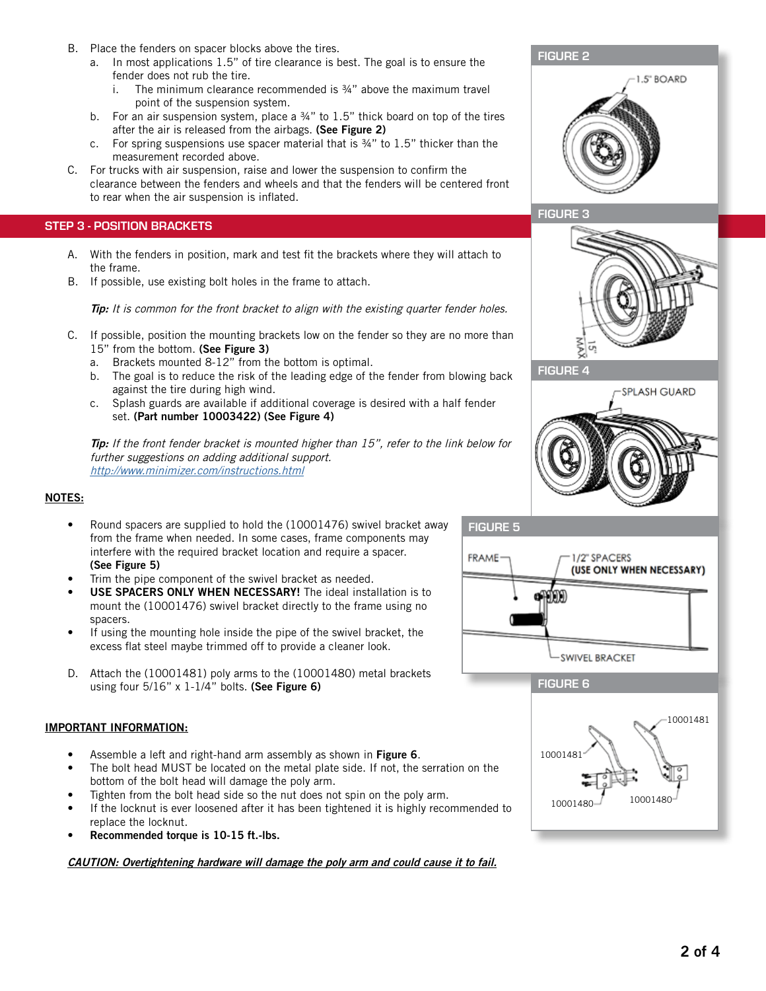- B. Place the fenders on spacer blocks above the tires.
	- a. In most applications 1.5" of tire clearance is best. The goal is to ensure the fender does not rub the tire.
		- i. The minimum clearance recommended is  $\frac{3}{4}$ " above the maximum travel point of the suspension system.
	- b. For an air suspension system, place a 34" to 1.5" thick board on top of the tires after the air is released from the airbags. (See Figure 2)
	- c. For spring suspensions use spacer material that is ¾" to 1.5" thicker than the measurement recorded above.
- C. For trucks with air suspension, raise and lower the suspension to confirm the clearance between the fenders and wheels and that the fenders will be centered front to rear when the air suspension is inflated.

#### STEP 3 - POSITION BRACKETS

- A. With the fenders in position, mark and test fit the brackets where they will attach to the frame.
- B. If possible, use existing bolt holes in the frame to attach.

Tip: It is common for the front bracket to align with the existing quarter fender holes.

- C. If possible, position the mounting brackets low on the fender so they are no more than 15" from the bottom. (See Figure 3)
	- a. Brackets mounted 8-12" from the bottom is optimal.
	- b. The goal is to reduce the risk of the leading edge of the fender from blowing back against the tire during high wind.
	- c. Splash guards are available if additional coverage is desired with a half fender set. (Part number 10003422) (See Figure 4)

Tip: If the front fender bracket is mounted higher than 15", refer to the link below for further suggestions on adding additional support. http://www.minimizer.com/instructions.html

#### NOTES:

- Round spacers are supplied to hold the (10001476) swivel bracket away from the frame when needed. In some cases, frame components may interfere with the required bracket location and require a spacer. (See Figure 5)
- Trim the pipe component of the swivel bracket as needed.
- USE SPACERS ONLY WHEN NECESSARY! The ideal installation is to mount the (10001476) swivel bracket directly to the frame using no spacers.
- If using the mounting hole inside the pipe of the swivel bracket, the excess flat steel maybe trimmed off to provide a cleaner look.
- D. Attach the (10001481) poly arms to the (10001480) metal brackets using four  $5/16$ " x  $1-1/4$ " bolts. (See Figure 6)

### IMPORTANT INFORMATION:

- Assemble a left and right-hand arm assembly as shown in Figure 6.
- The bolt head MUST be located on the metal plate side. If not, the serration on the bottom of the bolt head will damage the poly arm.
- Tighten from the bolt head side so the nut does not spin on the poly arm.
- If the locknut is ever loosened after it has been tightened it is highly recommended to replace the locknut.
- Recommended torque is 10-15 ft.-lbs.

CAUTION: Overtightening hardware will damage the poly arm and could cause it to fail.









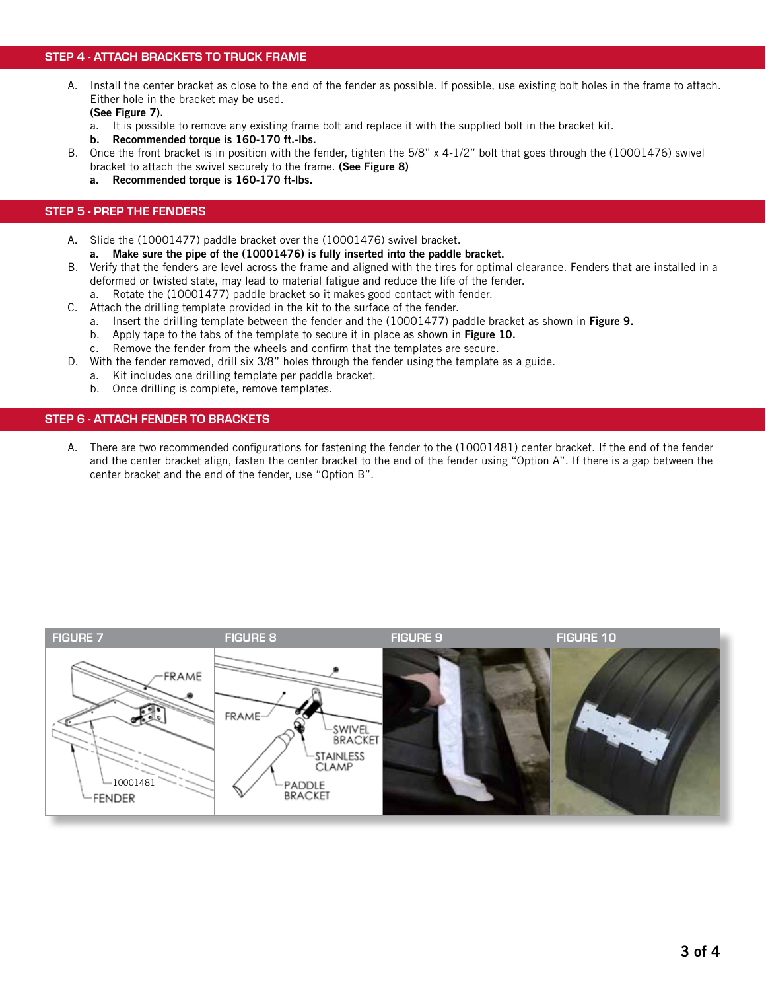## STEP 4 - ATTACH BRACKETS TO TRUCK FRAME

- A. Install the center bracket as close to the end of the fender as possible. If possible, use existing bolt holes in the frame to attach. Either hole in the bracket may be used. (See Figure 7).
	- a. It is possible to remove any existing frame bolt and replace it with the supplied bolt in the bracket kit.
	- b. Recommended torque is 160-170 ft.-lbs.
- B. Once the front bracket is in position with the fender, tighten the 5/8" x 4-1/2" bolt that goes through the (10001476) swivel
	- bracket to attach the swivel securely to the frame. (See Figure 8)
	- a. Recommended torque is 160-170 ft-lbs.

#### STEP 5 - PREP THE FENDERS

- A. Slide the (10001477) paddle bracket over the (10001476) swivel bracket.
	- a. Make sure the pipe of the (10001476) is fully inserted into the paddle bracket.
- B. Verify that the fenders are level across the frame and aligned with the tires for optimal clearance. Fenders that are installed in a deformed or twisted state, may lead to material fatigue and reduce the life of the fender.
	- a. Rotate the (10001477) paddle bracket so it makes good contact with fender.
- C. Attach the drilling template provided in the kit to the surface of the fender.
	- a. Insert the drilling template between the fender and the (10001477) paddle bracket as shown in Figure 9.
		- b. Apply tape to the tabs of the template to secure it in place as shown in Figure 10.
		- c. Remove the fender from the wheels and confirm that the templates are secure.
- D. With the fender removed, drill six 3/8" holes through the fender using the template as a guide.
	- a. Kit includes one drilling template per paddle bracket.
	- b. Once drilling is complete, remove templates.

### STEP 6 - ATTACH FENDER TO BRACKETS

A. There are two recommended configurations for fastening the fender to the (10001481) center bracket. If the end of the fender and the center bracket align, fasten the center bracket to the end of the fender using "Option A". If there is a gap between the center bracket and the end of the fender, use "Option B".